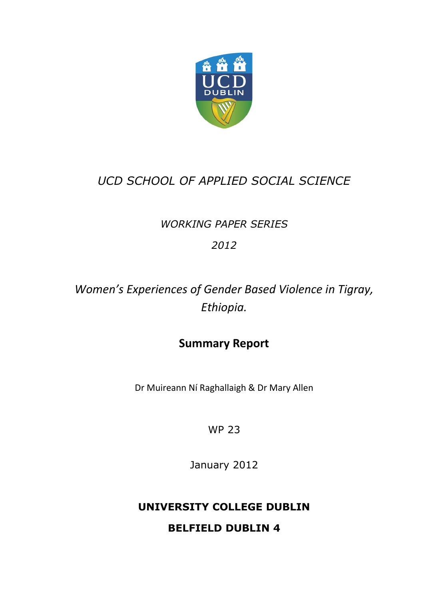

### *UCD SCHOOL OF APPLIED SOCIAL SCIENCE*

### *WORKING PAPER SERIES*

*2012*

*Women's Experiences of Gender Based Violence in Tigray, Ethiopia.*

### **Summary Report**

Dr Muireann Ní Raghallaigh & Dr Mary Allen

WP 23

January 2012

## **UNIVERSITY COLLEGE DUBLIN**

**BELFIELD DUBLIN 4**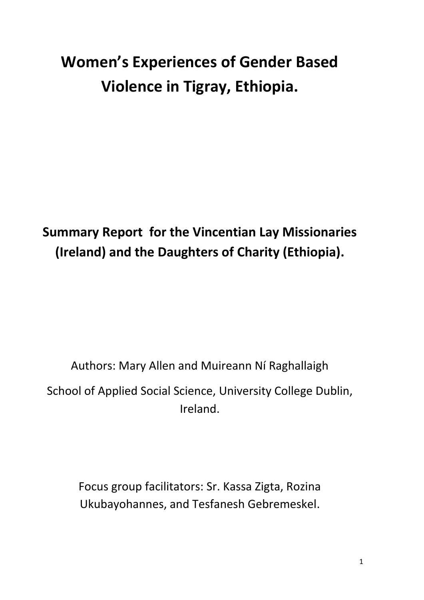# **Women's Experiences of Gender Based Violence in Tigray, Ethiopia.**

## **Summary Report for the Vincentian Lay Missionaries (Ireland) and the Daughters of Charity (Ethiopia).**

## Authors: Mary Allen and Muireann Ní Raghallaigh School of Applied Social Science, University College Dublin, Ireland.

Focus group facilitators: Sr. Kassa Zigta, Rozina Ukubayohannes, and Tesfanesh Gebremeskel.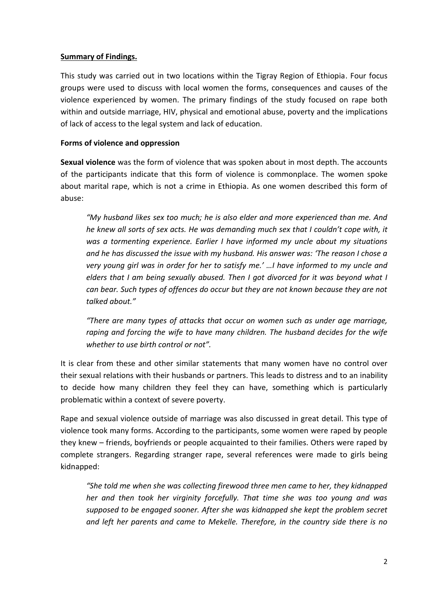#### **Summary of Findings.**

This study was carried out in two locations within the Tigray Region of Ethiopia. Four focus groups were used to discuss with local women the forms, consequences and causes of the violence experienced by women. The primary findings of the study focused on rape both within and outside marriage, HIV, physical and emotional abuse, poverty and the implications of lack of access to the legal system and lack of education.

#### **Forms of violence and oppression**

**Sexual violence** was the form of violence that was spoken about in most depth. The accounts of the participants indicate that this form of violence is commonplace. The women spoke about marital rape, which is not a crime in Ethiopia. As one women described this form of abuse:

*"My husband likes sex too much; he is also elder and more experienced than me. And he knew all sorts of sex acts. He was demanding much sex that I couldn't cope with, it was a tormenting experience. Earlier I have informed my uncle about my situations and he has discussed the issue with my husband. His answer was: 'The reason I chose a very young girl was in order for her to satisfy me.' …I have informed to my uncle and elders that I am being sexually abused. Then I got divorced for it was beyond what I can bear. Such types of offences do occur but they are not known because they are not talked about."* 

*"There are many types of attacks that occur on women such as under age marriage, raping and forcing the wife to have many children. The husband decides for the wife whether to use birth control or not".*

It is clear from these and other similar statements that many women have no control over their sexual relations with their husbands or partners. This leads to distress and to an inability to decide how many children they feel they can have, something which is particularly problematic within a context of severe poverty.

Rape and sexual violence outside of marriage was also discussed in great detail. This type of violence took many forms. According to the participants, some women were raped by people they knew – friends, boyfriends or people acquainted to their families. Others were raped by complete strangers. Regarding stranger rape, several references were made to girls being kidnapped:

*"She told me when she was collecting firewood three men came to her, they kidnapped her and then took her virginity forcefully. That time she was too young and was supposed to be engaged sooner. After she was kidnapped she kept the problem secret and left her parents and came to Mekelle. Therefore, in the country side there is no*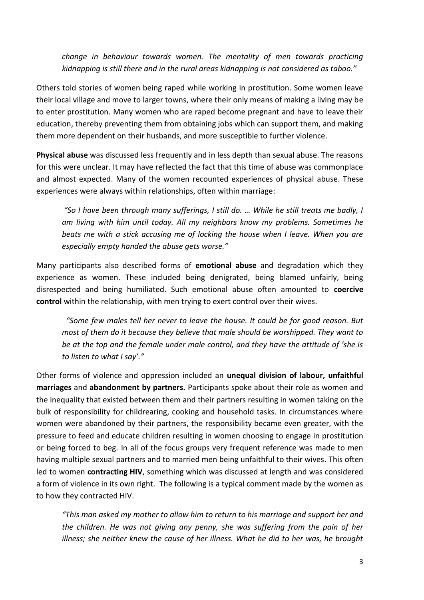*change in behaviour towards women. The mentality of men towards practicing kidnapping is still there and in the rural areas kidnapping is not considered as taboo."*

Others told stories of women being raped while working in prostitution. Some women leave their local village and move to larger towns, where their only means of making a living may be to enter prostitution. Many women who are raped become pregnant and have to leave their education, thereby preventing them from obtaining jobs which can support them, and making them more dependent on their husbands, and more susceptible to further violence.

**Physical abuse** was discussed less frequently and in less depth than sexual abuse. The reasons for this were unclear. It may have reflected the fact that this time of abuse was commonplace and almost expected. Many of the women recounted experiences of physical abuse. These experiences were always within relationships, often within marriage:

*"So I have been through many sufferings, I still do. … While he still treats me badly, I am living with him until today. All my neighbors know my problems. Sometimes he beats me with a stick accusing me of locking the house when I leave. When you are especially empty handed the abuse gets worse."*

Many participants also described forms of **emotional abuse** and degradation which they experience as women. These included being denigrated, being blamed unfairly, being disrespected and being humiliated. Such emotional abuse often amounted to **coercive control** within the relationship, with men trying to exert control over their wives.

*"Some few males tell her never to leave the house. It could be for good reason. But most of them do it because they believe that male should be worshipped. They want to be at the top and the female under male control, and they have the attitude of 'she is to listen to what I say'."*

Other forms of violence and oppression included an **unequal division of labour, unfaithful marriages** and **abandonment by partners.** Participants spoke about their role as women and the inequality that existed between them and their partners resulting in women taking on the bulk of responsibility for childrearing, cooking and household tasks. In circumstances where women were abandoned by their partners, the responsibility became even greater, with the pressure to feed and educate children resulting in women choosing to engage in prostitution or being forced to beg. In all of the focus groups very frequent reference was made to men having multiple sexual partners and to married men being unfaithful to their wives. This often led to women **contracting HIV**, something which was discussed at length and was considered a form of violence in its own right. The following is a typical comment made by the women as to how they contracted HIV.

*"This man asked my mother to allow him to return to his marriage and support her and the children. He was not giving any penny, she was suffering from the pain of her illness; she neither knew the cause of her illness. What he did to her was, he brought*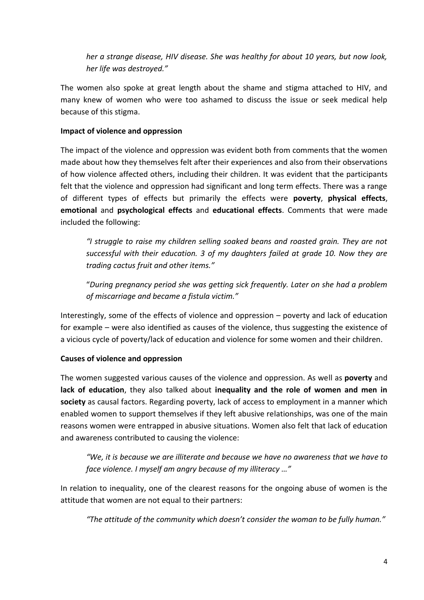*her a strange disease, HIV disease. She was healthy for about 10 years, but now look, her life was destroyed."*

The women also spoke at great length about the shame and stigma attached to HIV, and many knew of women who were too ashamed to discuss the issue or seek medical help because of this stigma.

#### **Impact of violence and oppression**

The impact of the violence and oppression was evident both from comments that the women made about how they themselves felt after their experiences and also from their observations of how violence affected others, including their children. It was evident that the participants felt that the violence and oppression had significant and long term effects. There was a range of different types of effects but primarily the effects were **poverty**, **physical effects**, **emotional** and **psychological effects** and **educational effects**. Comments that were made included the following:

*"I struggle to raise my children selling soaked beans and roasted grain. They are not successful with their education. 3 of my daughters failed at grade 10. Now they are trading cactus fruit and other items."*

"*During pregnancy period she was getting sick frequently. Later on she had a problem of miscarriage and became a fistula victim."*

Interestingly, some of the effects of violence and oppression – poverty and lack of education for example – were also identified as causes of the violence, thus suggesting the existence of a vicious cycle of poverty/lack of education and violence for some women and their children.

#### **Causes of violence and oppression**

The women suggested various causes of the violence and oppression. As well as **poverty** and **lack of education**, they also talked about **inequality and the role of women and men in society** as causal factors. Regarding poverty, lack of access to employment in a manner which enabled women to support themselves if they left abusive relationships, was one of the main reasons women were entrapped in abusive situations. Women also felt that lack of education and awareness contributed to causing the violence:

*"We, it is because we are illiterate and because we have no awareness that we have to face violence. I myself am angry because of my illiteracy …"*

In relation to inequality, one of the clearest reasons for the ongoing abuse of women is the attitude that women are not equal to their partners:

*"The attitude of the community which doesn't consider the woman to be fully human."*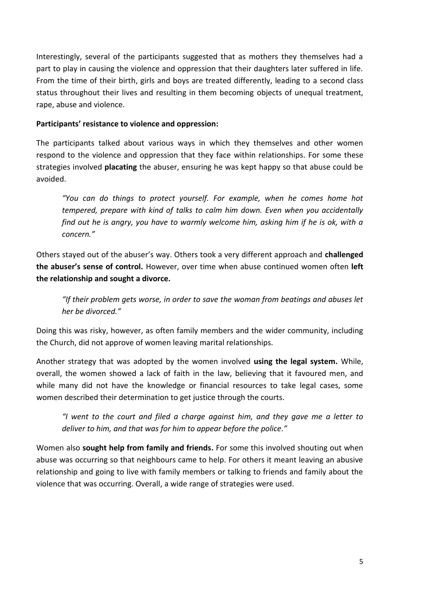Interestingly, several of the participants suggested that as mothers they themselves had a part to play in causing the violence and oppression that their daughters later suffered in life. From the time of their birth, girls and boys are treated differently, leading to a second class status throughout their lives and resulting in them becoming objects of unequal treatment, rape, abuse and violence.

#### **Participants' resistance to violence and oppression:**

The participants talked about various ways in which they themselves and other women respond to the violence and oppression that they face within relationships. For some these strategies involved **placating** the abuser, ensuring he was kept happy so that abuse could be avoided.

*"You can do things to protect yourself. For example, when he comes home hot tempered, prepare with kind of talks to calm him down. Even when you accidentally find out he is angry, you have to warmly welcome him, asking him if he is ok, with a concern."*

Others stayed out of the abuser's way. Others took a very different approach and **challenged the abuser's sense of control.** However, over time when abuse continued women often **left the relationship and sought a divorce.**

*"If their problem gets worse, in order to save the woman from beatings and abuses let her be divorced."*

Doing this was risky, however, as often family members and the wider community, including the Church, did not approve of women leaving marital relationships.

Another strategy that was adopted by the women involved **using the legal system.** While, overall, the women showed a lack of faith in the law, believing that it favoured men, and while many did not have the knowledge or financial resources to take legal cases, some women described their determination to get justice through the courts.

*"I went to the court and filed a charge against him, and they gave me a letter to deliver to him, and that was for him to appear before the police."*

Women also **sought help from family and friends.** For some this involved shouting out when abuse was occurring so that neighbours came to help. For others it meant leaving an abusive relationship and going to live with family members or talking to friends and family about the violence that was occurring. Overall, a wide range of strategies were used.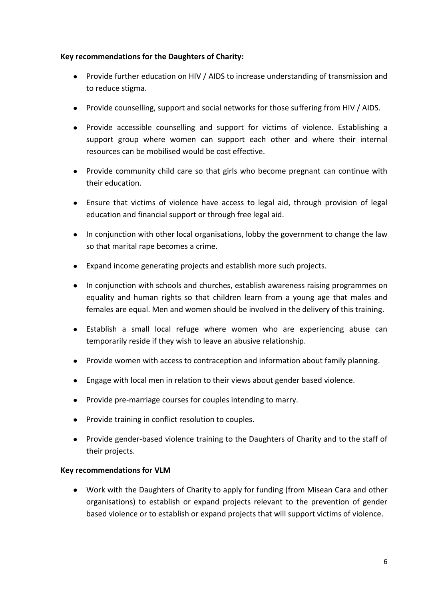#### **Key recommendations for the Daughters of Charity:**

- Provide further education on HIV / AIDS to increase understanding of transmission and to reduce stigma.
- Provide counselling, support and social networks for those suffering from HIV / AIDS.
- Provide accessible counselling and support for victims of violence. Establishing a support group where women can support each other and where their internal resources can be mobilised would be cost effective.
- Provide community child care so that girls who become pregnant can continue with their education.
- Ensure that victims of violence have access to legal aid, through provision of legal education and financial support or through free legal aid.
- In conjunction with other local organisations, lobby the government to change the law so that marital rape becomes a crime.
- Expand income generating projects and establish more such projects.
- In conjunction with schools and churches, establish awareness raising programmes on equality and human rights so that children learn from a young age that males and females are equal. Men and women should be involved in the delivery of this training.
- Establish a small local refuge where women who are experiencing abuse can temporarily reside if they wish to leave an abusive relationship.
- Provide women with access to contraception and information about family planning.
- Engage with local men in relation to their views about gender based violence.
- Provide pre-marriage courses for couples intending to marry.
- Provide training in conflict resolution to couples.
- Provide gender-based violence training to the Daughters of Charity and to the staff of their projects.

#### **Key recommendations for VLM**

Work with the Daughters of Charity to apply for funding (from Misean Cara and other organisations) to establish or expand projects relevant to the prevention of gender based violence or to establish or expand projects that will support victims of violence.